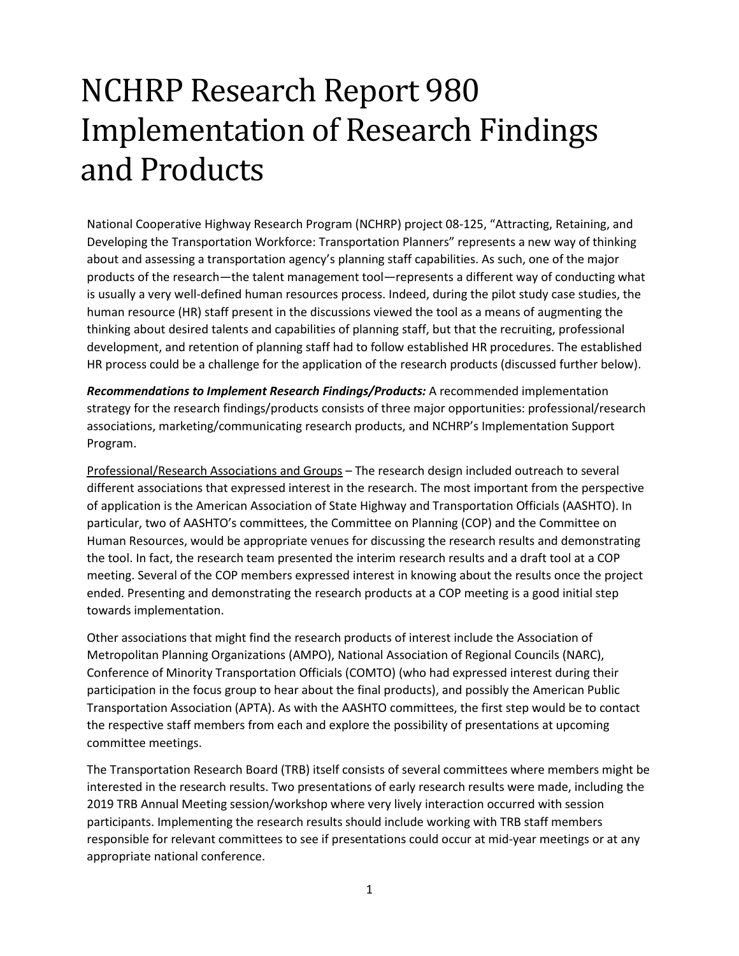## NCHRP Research Report 980 Implementation of Research Findings and Products

National Cooperative Highway Research Program (NCHRP) project 08-125, "Attracting, Retaining, and Developing the Transportation Workforce: Transportation Planners" represents a new way of thinking about and assessing a transportation agency's planning staff capabilities. As such, one of the major products of the research—the talent management tool—represents a different way of conducting what is usually a very well-defined human resources process. Indeed, during the pilot study case studies, the human resource (HR) staff present in the discussions viewed the tool as a means of augmenting the thinking about desired talents and capabilities of planning staff, but that the recruiting, professional development, and retention of planning staff had to follow established HR procedures. The established HR process could be a challenge for the application of the research products (discussed further below).

*Recommendations to Implement Research Findings/Products:* A recommended implementation strategy for the research findings/products consists of three major opportunities: professional/research associations, marketing/communicating research products, and NCHRP's Implementation Support Program.

Professional/Research Associations and Groups – The research design included outreach to several different associations that expressed interest in the research. The most important from the perspective of application is the American Association of State Highway and Transportation Officials (AASHTO). In particular, two of AASHTO's committees, the Committee on Planning (COP) and the Committee on Human Resources, would be appropriate venues for discussing the research results and demonstrating the tool. In fact, the research team presented the interim research results and a draft tool at a COP meeting. Several of the COP members expressed interest in knowing about the results once the project ended. Presenting and demonstrating the research products at a COP meeting is a good initial step towards implementation.

Other associations that might find the research products of interest include the Association of Metropolitan Planning Organizations (AMPO), National Association of Regional Councils (NARC), Conference of Minority Transportation Officials (COMTO) (who had expressed interest during their participation in the focus group to hear about the final products), and possibly the American Public Transportation Association (APTA). As with the AASHTO committees, the first step would be to contact the respective staff members from each and explore the possibility of presentations at upcoming committee meetings.

The Transportation Research Board (TRB) itself consists of several committees where members might be interested in the research results. Two presentations of early research results were made, including the 2019 TRB Annual Meeting session/workshop where very lively interaction occurred with session participants. Implementing the research results should include working with TRB staff members responsible for relevant committees to see if presentations could occur at mid-year meetings or at any appropriate national conference.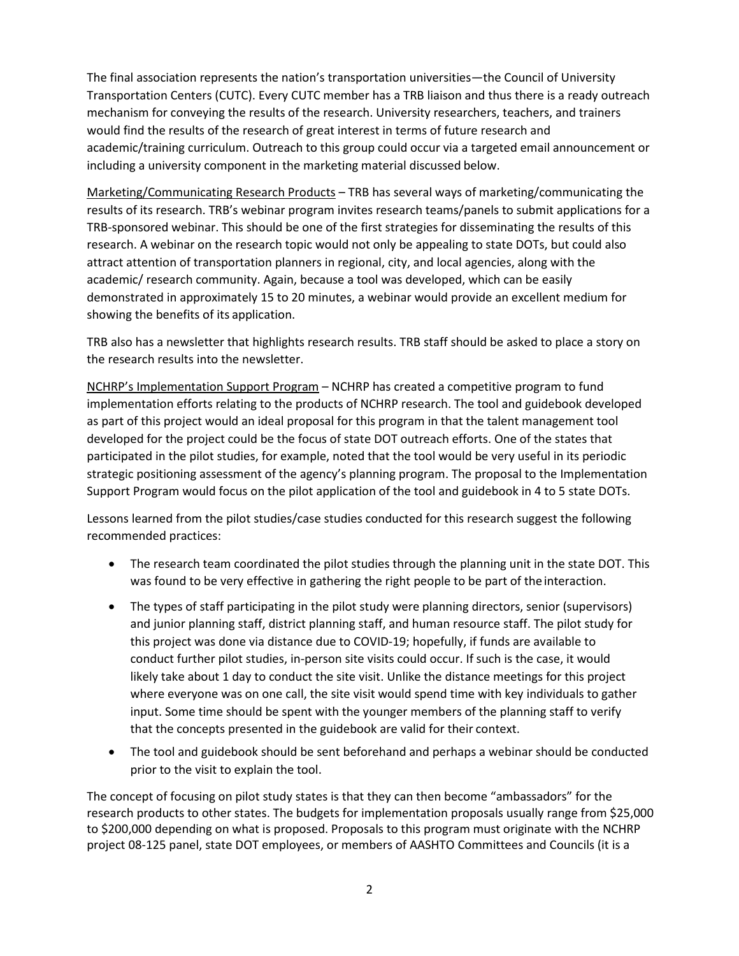The final association represents the nation's transportation universities—the Council of University Transportation Centers (CUTC). Every CUTC member has a TRB liaison and thus there is a ready outreach mechanism for conveying the results of the research. University researchers, teachers, and trainers would find the results of the research of great interest in terms of future research and academic/training curriculum. Outreach to this group could occur via a targeted email announcement or including a university component in the marketing material discussed below.

Marketing/Communicating Research Products – TRB has several ways of marketing/communicating the results of its research. TRB's webinar program invites research teams/panels to submit applications for a TRB-sponsored webinar. This should be one of the first strategies for disseminating the results of this research. A webinar on the research topic would not only be appealing to state DOTs, but could also attract attention of transportation planners in regional, city, and local agencies, along with the academic/ research community. Again, because a tool was developed, which can be easily demonstrated in approximately 15 to 20 minutes, a webinar would provide an excellent medium for showing the benefits of its application.

TRB also has a newsletter that highlights research results. TRB staff should be asked to place a story on the research results into the newsletter.

NCHRP's Implementation Support Program – NCHRP has created a competitive program to fund implementation efforts relating to the products of NCHRP research. The tool and guidebook developed as part of this project would an ideal proposal for this program in that the talent management tool developed for the project could be the focus of state DOT outreach efforts. One of the states that participated in the pilot studies, for example, noted that the tool would be very useful in its periodic strategic positioning assessment of the agency's planning program. The proposal to the Implementation Support Program would focus on the pilot application of the tool and guidebook in 4 to 5 state DOTs.

Lessons learned from the pilot studies/case studies conducted for this research suggest the following recommended practices:

- The research team coordinated the pilot studies through the planning unit in the state DOT. This was found to be very effective in gathering the right people to be part of theinteraction.
- The types of staff participating in the pilot study were planning directors, senior (supervisors) and junior planning staff, district planning staff, and human resource staff. The pilot study for this project was done via distance due to COVID-19; hopefully, if funds are available to conduct further pilot studies, in-person site visits could occur. If such is the case, it would likely take about 1 day to conduct the site visit. Unlike the distance meetings for this project where everyone was on one call, the site visit would spend time with key individuals to gather input. Some time should be spent with the younger members of the planning staff to verify that the concepts presented in the guidebook are valid for their context.
- The tool and guidebook should be sent beforehand and perhaps a webinar should be conducted prior to the visit to explain the tool.

The concept of focusing on pilot study states is that they can then become "ambassadors" for the research products to other states. The budgets for implementation proposals usually range from \$25,000 to \$200,000 depending on what is proposed. Proposals to this program must originate with the NCHRP project 08-125 panel, state DOT employees, or members of AASHTO Committees and Councils (it is a